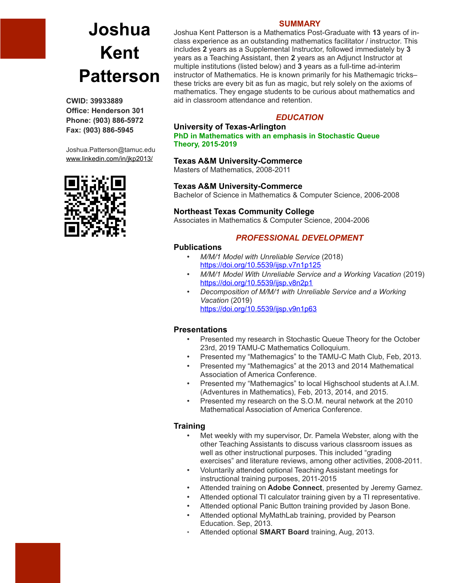# **Joshua Kent Patterson**

**CWID: 39933889 Office: Henderson 301 Phone: (903) 886-5972 Fax: (903) 886-5945**

Joshua.Patterson@tamuc.edu [www.linkedin.com/in/jkp2013/](http://www.linkedin.com/in/jkp2013/)



## **SUMMARY**

Joshua Kent Patterson is a Mathematics Post-Graduate with **13** years of inclass experience as an outstanding mathematics facilitator / instructor. This includes **2** years as a Supplemental Instructor, followed immediately by **3** years as a Teaching Assistant, then **2** years as an Adjunct Instructor at multiple institutions (listed below) and **3** years as a full-time ad-interim instructor of Mathematics. He is known primarily for his Mathemagic tricks– these tricks are every bit as fun as magic, but rely solely on the axioms of mathematics. They engage students to be curious about mathematics and aid in classroom attendance and retention.

## *EDUCATION*

## **University of Texas-Arlington**

**PhD in Mathematics with an emphasis in Stochastic Queue Theory, 2015-2019**

## **Texas A&M University-Commerce**

Masters of Mathematics, 2008-2011

#### **Texas A&M University-Commerce**

Bachelor of Science in Mathematics & Computer Science, 2006-2008

## **Northeast Texas Community College**

Associates in Mathematics & Computer Science, 2004-2006

## *PROFESSIONAL DEVELOPMENT*

## **Publications**

- *M/M/1 Model with Unreliable Service* (2018) <https://doi.org/10.5539/ijsp.v7n1p125>
- *M/M/1 Model With Unreliable Service and a Working Vacation* (2019) <https://doi.org/10.5539/ijsp.v8n2p1>
- *Decomposition of M/M/1 with Unreliable Service and a Working Vacation* (2019) <https://doi.org/10.5539/ijsp.v9n1p63>

## **Presentations**

- Presented my research in Stochastic Queue Theory for the October 23rd, 2019 TAMU-C Mathematics Colloquium.
- Presented my "Mathemagics" to the TAMU-C Math Club, Feb, 2013.
- Presented my "Mathemagics" at the 2013 and 2014 Mathematical Association of America Conference.
- Presented my "Mathemagics" to local Highschool students at A.I.M. (Adventures in Mathematics), Feb, 2013, 2014, and 2015.
- Presented my research on the S.O.M. neural network at the 2010 Mathematical Association of America Conference.

## **Training**

- Met weekly with my supervisor, Dr. Pamela Webster, along with the other Teaching Assistants to discuss various classroom issues as well as other instructional purposes. This included "grading exercises" and literature reviews, among other activities, 2008-2011.
- Voluntarily attended optional Teaching Assistant meetings for instructional training purposes, 2011-2015
- Attended training on **Adobe Connect**, presented by Jeremy Gamez.
- Attended optional TI calculator training given by a TI representative.
- Attended optional Panic Button training provided by Jason Bone.
- Attended optional MyMathLab training, provided by Pearson Education. Sep, 2013.
- Attended optional **SMART Board** training, Aug, 2013.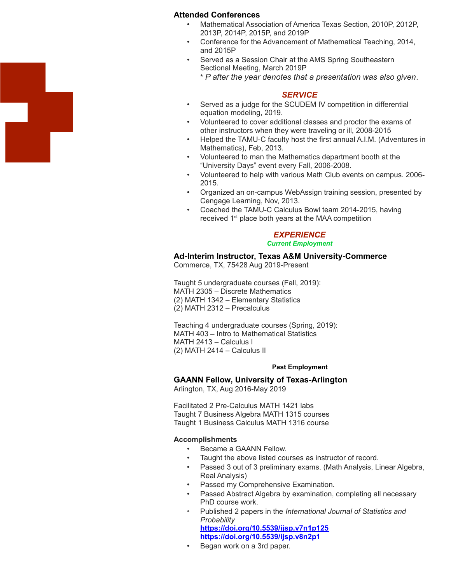#### **Attended Conferences**

- Mathematical Association of America Texas Section, 2010P, 2012P, 2013P, 2014P, 2015P, and 2019P
- Conference for the Advancement of Mathematical Teaching, 2014, and 2015P
- Served as a Session Chair at the AMS Spring Southeastern Sectional Meeting, March 2019P

\* *P after the year denotes that a presentation was also given*.

#### *SERVICE*

- Served as a judge for the SCUDEM IV competition in differential equation modeling, 2019.
- Volunteered to cover additional classes and proctor the exams of other instructors when they were traveling or ill, 2008-2015
- Helped the TAMU-C faculty host the first annual A.I.M. (Adventures in Mathematics), Feb, 2013.
- Volunteered to man the Mathematics department booth at the "University Days" event every Fall, 2006-2008.
- Volunteered to help with various Math Club events on campus. 2006- 2015.
- Organized an on-campus WebAssign training session, presented by Cengage Learning, Nov, 2013.
- Coached the TAMU-C Calculus Bowl team 2014-2015, having received 1<sup>st</sup> place both years at the MAA competition

# *EXPERIENCE*

#### *Current Employment*

#### **Ad-Interim Instructor, Texas A&M University-Commerce**

Commerce, TX, 75428 Aug 2019-Present

Taught 5 undergraduate courses (Fall, 2019): MATH 2305 – Discrete Mathematics (2) MATH 1342 – Elementary Statistics (2) MATH 2312 – Precalculus

Teaching 4 undergraduate courses (Spring, 2019): MATH 403 – Intro to Mathematical Statistics MATH 2413 – Calculus I (2) MATH 2414 – Calculus II

#### **Past Employment**

#### **GAANN Fellow, University of Texas-Arlington**

Arlington, TX, Aug 2016-May 2019

Facilitated 2 Pre-Calculus MATH 1421 labs Taught 7 Business Algebra MATH 1315 courses Taught 1 Business Calculus MATH 1316 course

#### **Accomplishments**

- Became a GAANN Fellow.
- Taught the above listed courses as instructor of record.
- Passed 3 out of 3 preliminary exams. (Math Analysis, Linear Algebra, Real Analysis)
- Passed my Comprehensive Examination.
- Passed Abstract Algebra by examination, completing all necessary PhD course work.
- Published 2 papers in the *International Journal of Statistics and Probability* **<https://doi.org/10.5539/ijsp.v7n1p125>**

**<https://doi.org/10.5539/ijsp.v8n2p1>**

• Began work on a 3rd paper.

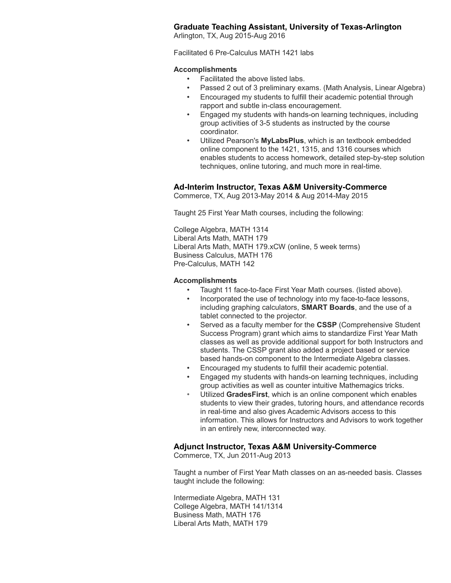## **Graduate Teaching Assistant, University of Texas-Arlington**

Arlington, TX, Aug 2015-Aug 2016

Facilitated 6 Pre-Calculus MATH 1421 labs

#### **Accomplishments**

- Facilitated the above listed labs.
- Passed 2 out of 3 preliminary exams. (Math Analysis, Linear Algebra)
- Encouraged my students to fulfill their academic potential through rapport and subtle in-class encouragement.
- Engaged my students with hands-on learning techniques, including group activities of 3-5 students as instructed by the course coordinator.
- Utilized Pearson's **MyLabsPlus**, which is an textbook embedded online component to the 1421, 1315, and 1316 courses which enables students to access homework, detailed step-by-step solution techniques, online tutoring, and much more in real-time.

## **Ad-Interim Instructor, Texas A&M University-Commerce**

Commerce, TX, Aug 2013-May 2014 & Aug 2014-May 2015

Taught 25 First Year Math courses, including the following:

College Algebra, MATH 1314 Liberal Arts Math, MATH 179 Liberal Arts Math, MATH 179.xCW (online, 5 week terms) Business Calculus, MATH 176 Pre-Calculus, MATH 142

#### **Accomplishments**

- Taught 11 face-to-face First Year Math courses. (listed above).
- Incorporated the use of technology into my face-to-face lessons, including graphing calculators, **SMART Boards**, and the use of a tablet connected to the projector.
- Served as a faculty member for the **CSSP** (Comprehensive Student Success Program) grant which aims to standardize First Year Math classes as well as provide additional support for both Instructors and students. The CSSP grant also added a project based or service based hands-on component to the Intermediate Algebra classes.
- Encouraged my students to fulfill their academic potential.
- Engaged my students with hands-on learning techniques, including group activities as well as counter intuitive Mathemagics tricks.
- Utilized **GradesFirst**, which is an online component which enables students to view their grades, tutoring hours, and attendance records in real-time and also gives Academic Advisors access to this information. This allows for Instructors and Advisors to work together in an entirely new, interconnected way.

## **Adjunct Instructor, Texas A&M University-Commerce**

Commerce, TX, Jun 2011-Aug 2013

Taught a number of First Year Math classes on an as-needed basis. Classes taught include the following:

Intermediate Algebra, MATH 131 College Algebra, MATH 141/1314 Business Math, MATH 176 Liberal Arts Math, MATH 179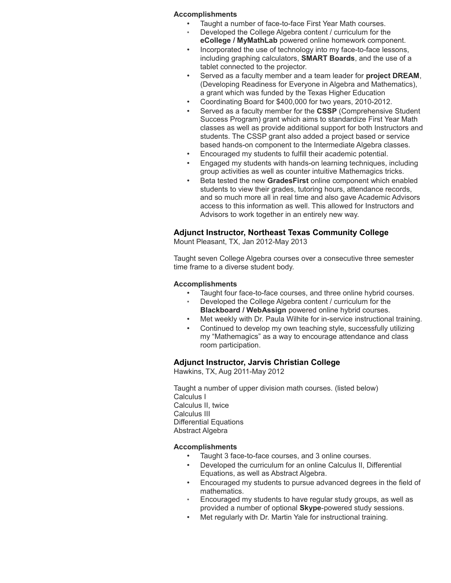#### **Accomplishments**

Taught a number of face-to-face First Year Math courses.

- Developed the College Algebra content / curriculum for the **eCollege / MyMathLab** powered online homework component.
- Incorporated the use of technology into my face-to-face lessons, including graphing calculators, **SMART Boards**, and the use of a tablet connected to the projector.
- Served as a faculty member and a team leader for **project DREAM**, (Developing Readiness for Everyone in Algebra and Mathematics), a grant which was funded by the Texas Higher Education
- Coordinating Board for \$400,000 for two years, 2010-2012.
- Served as a faculty member for the **CSSP** (Comprehensive Student Success Program) grant which aims to standardize First Year Math classes as well as provide additional support for both Instructors and students. The CSSP grant also added a project based or service based hands-on component to the Intermediate Algebra classes.
- Encouraged my students to fulfill their academic potential.
- Engaged my students with hands-on learning techniques, including group activities as well as counter intuitive Mathemagics tricks.
- Beta tested the new **GradesFirst** online component which enabled students to view their grades, tutoring hours, attendance records, and so much more all in real time and also gave Academic Advisors access to this information as well. This allowed for Instructors and Advisors to work together in an entirely new way.

#### **Adjunct Instructor, Northeast Texas Community College**

Mount Pleasant, TX, Jan 2012-May 2013

Taught seven College Algebra courses over a consecutive three semester time frame to a diverse student body.

#### **Accomplishments**

- Taught four face-to-face courses, and three online hybrid courses.
- Developed the College Algebra content / curriculum for the **Blackboard / WebAssign** powered online hybrid courses.
- Met weekly with Dr. Paula Wilhite for in-service instructional training.
- Continued to develop my own teaching style, successfully utilizing my "Mathemagics" as a way to encourage attendance and class room participation.

#### **Adjunct Instructor, Jarvis Christian College**

Hawkins, TX, Aug 2011-May 2012

Taught a number of upper division math courses. (listed below) Calculus I Calculus II, twice Calculus III Differential Equations Abstract Algebra

#### **Accomplishments**

- Taught 3 face-to-face courses, and 3 online courses.
- Developed the curriculum for an online Calculus II, Differential Equations, as well as Abstract Algebra.
- Encouraged my students to pursue advanced degrees in the field of mathematics.
- Encouraged my students to have regular study groups, as well as provided a number of optional **Skype**-powered study sessions.
- Met regularly with Dr. Martin Yale for instructional training.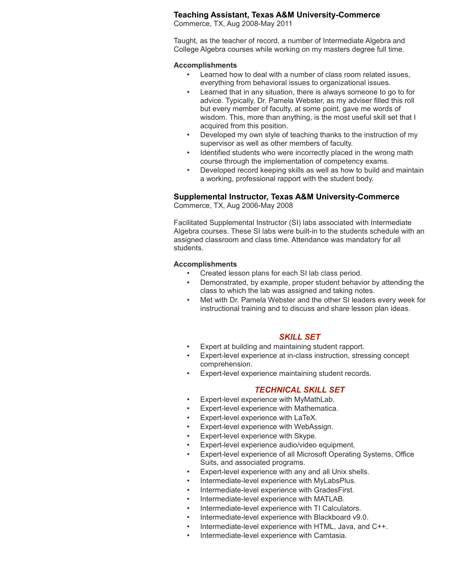## **Teaching Assistant, Texas A&M University-Commerce**

Commerce, TX, Aug 2008-May 2011

Taught, as the teacher of record, a number of Intermediate Algebra and College Algebra courses while working on my masters degree full time.

#### **Accomplishments**

- Learned how to deal with a number of class room related issues, everything from behavioral issues to organizational issues.
- Learned that in any situation, there is always someone to go to for advice. Typically, Dr. Pamela Webster, as my adviser filled this roll but every member of faculty, at some point, gave me words of wisdom. This, more than anything, is the most useful skill set that I acquired from this position.
- Developed my own style of teaching thanks to the instruction of my supervisor as well as other members of faculty.
- Identified students who were incorrectly placed in the wrong math course through the implementation of competency exams.
- Developed record keeping skills as well as how to build and maintain a working, professional rapport with the student body.

#### **Supplemental Instructor, Texas A&M University-Commerce**

Commerce, TX, Aug 2006-May 2008

Facilitated Supplemental Instructor (SI) labs associated with Intermediate Algebra courses. These SI labs were built-in to the students schedule with an assigned classroom and class time. Attendance was mandatory for all students.

#### **Accomplishments**

- Created lesson plans for each SI lab class period.
- Demonstrated, by example, proper student behavior by attending the class to which the lab was assigned and taking notes.
- Met with Dr. Pamela Webster and the other SI leaders every week for instructional training and to discuss and share lesson plan ideas.

## *SKILL SET*

- Expert at building and maintaining student rapport.
- Expert-level experience at in-class instruction, stressing concept comprehension.
- Expert-level experience maintaining student records.

## *TECHNICAL SKILL SET*

- Expert-level experience with MyMathLab.
- Expert-level experience with Mathematica.
- Expert-level experience with LaTeX.
- Expert-level experience with WebAssign.
- Expert-level experience with Skype.
- Expert-level experience audio/video equipment.
- Expert-level experience of all Microsoft Operating Systems, Office Suits, and associated programs.
- Expert-level experience with any and all Unix shells.
- Intermediate-level experience with MyLabsPlus.
- Intermediate-level experience with GradesFirst.
- Intermediate-level experience with MATLAB.
- Intermediate-level experience with TI Calculators.
- Intermediate-level experience with Blackboard v9.0.
- Intermediate-level experience with HTML, Java, and C++.
- Intermediate-level experience with Camtasia.